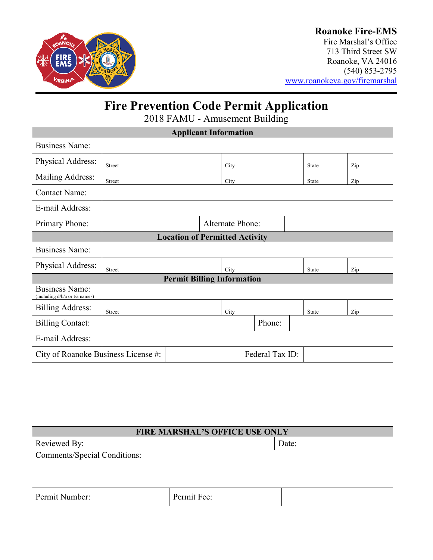

### **Roanoke Fire-EMS**

Fire Marshal's Office 713 Third Street SW Roanoke, VA 24016 (540) 853-2795 [www.roanokeva.gov/firemarshal](http://www.roanokeva.gov/firemarshal)

# **Fire Prevention Code Permit Application**

2018 FAMU - Amusement Building

| <b>Applicant Information</b>                            |                         |  |      |  |        |              |     |  |
|---------------------------------------------------------|-------------------------|--|------|--|--------|--------------|-----|--|
| <b>Business Name:</b>                                   |                         |  |      |  |        |              |     |  |
| Physical Address:                                       | Street                  |  | City |  |        | <b>State</b> | Zip |  |
| Mailing Address:                                        | Street                  |  | City |  |        | <b>State</b> | Zip |  |
| <b>Contact Name:</b>                                    |                         |  |      |  |        |              |     |  |
| E-mail Address:                                         |                         |  |      |  |        |              |     |  |
| Primary Phone:                                          | <b>Alternate Phone:</b> |  |      |  |        |              |     |  |
| <b>Location of Permitted Activity</b>                   |                         |  |      |  |        |              |     |  |
| <b>Business Name:</b>                                   |                         |  |      |  |        |              |     |  |
| Physical Address:                                       | Street                  |  | City |  |        | <b>State</b> | Zip |  |
| <b>Permit Billing Information</b>                       |                         |  |      |  |        |              |     |  |
| <b>Business Name:</b><br>(including d/b/a or t/a names) |                         |  |      |  |        |              |     |  |
| <b>Billing Address:</b>                                 | Street                  |  | City |  |        | State        | Zip |  |
| <b>Billing Contact:</b>                                 |                         |  |      |  | Phone: |              |     |  |
| E-mail Address:                                         |                         |  |      |  |        |              |     |  |
| Federal Tax ID:<br>City of Roanoke Business License #:  |                         |  |      |  |        |              |     |  |

| <b>FIRE MARSHAL'S OFFICE USE ONLY</b> |             |  |  |
|---------------------------------------|-------------|--|--|
| Reviewed By:                          | Date:       |  |  |
| <b>Comments/Special Conditions:</b>   |             |  |  |
|                                       |             |  |  |
|                                       |             |  |  |
| Permit Number:                        | Permit Fee: |  |  |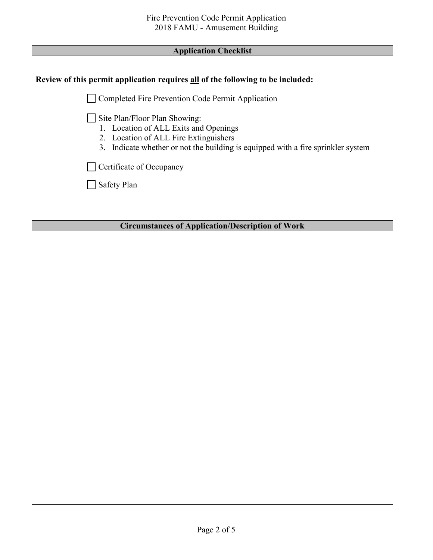| <b>Application Checklist</b>                                                                                                                                                                        |
|-----------------------------------------------------------------------------------------------------------------------------------------------------------------------------------------------------|
|                                                                                                                                                                                                     |
| Review of this permit application requires all of the following to be included:                                                                                                                     |
| Completed Fire Prevention Code Permit Application                                                                                                                                                   |
| Site Plan/Floor Plan Showing:<br>1. Location of ALL Exits and Openings<br>2. Location of ALL Fire Extinguishers<br>3. Indicate whether or not the building is equipped with a fire sprinkler system |
| Certificate of Occupancy                                                                                                                                                                            |
| Safety Plan                                                                                                                                                                                         |
|                                                                                                                                                                                                     |
|                                                                                                                                                                                                     |
| <b>Circumstances of Application/Description of Work</b>                                                                                                                                             |
|                                                                                                                                                                                                     |
|                                                                                                                                                                                                     |
|                                                                                                                                                                                                     |
|                                                                                                                                                                                                     |
|                                                                                                                                                                                                     |
|                                                                                                                                                                                                     |
|                                                                                                                                                                                                     |
|                                                                                                                                                                                                     |
|                                                                                                                                                                                                     |
|                                                                                                                                                                                                     |
|                                                                                                                                                                                                     |
|                                                                                                                                                                                                     |
|                                                                                                                                                                                                     |
|                                                                                                                                                                                                     |
|                                                                                                                                                                                                     |
|                                                                                                                                                                                                     |
|                                                                                                                                                                                                     |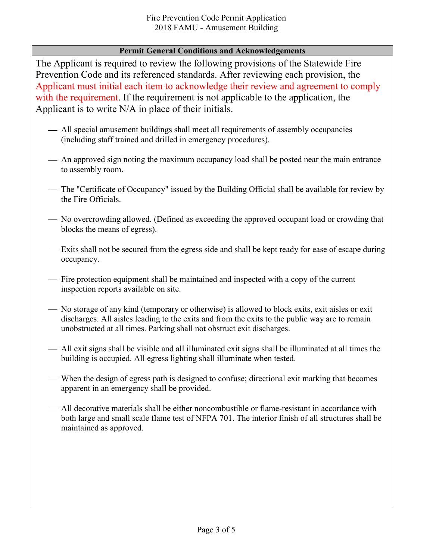### **Permit General Conditions and Acknowledgements**

The Applicant is required to review the following provisions of the Statewide Fire Prevention Code and its referenced standards. After reviewing each provision, the Applicant must initial each item to acknowledge their review and agreement to comply with the requirement. If the requirement is not applicable to the application, the Applicant is to write N/A in place of their initials.

- All special amusement buildings shall meet all requirements of assembly occupancies (including staff trained and drilled in emergency procedures).
- An approved sign noting the maximum occupancy load shall be posted near the main entrance to assembly room.
- The "Certificate of Occupancy" issued by the Building Official shall be available for review by the Fire Officials.
- No overcrowding allowed. (Defined as exceeding the approved occupant load or crowding that blocks the means of egress).
- Exits shall not be secured from the egress side and shall be kept ready for ease of escape during occupancy.
- Fire protection equipment shall be maintained and inspected with a copy of the current inspection reports available on site.
- No storage of any kind (temporary or otherwise) is allowed to block exits, exit aisles or exit discharges. All aisles leading to the exits and from the exits to the public way are to remain unobstructed at all times. Parking shall not obstruct exit discharges.
- All exit signs shall be visible and all illuminated exit signs shall be illuminated at all times the building is occupied. All egress lighting shall illuminate when tested.
- When the design of egress path is designed to confuse; directional exit marking that becomes apparent in an emergency shall be provided.
- All decorative materials shall be either noncombustible or flame-resistant in accordance with both large and small scale flame test of NFPA 701. The interior finish of all structures shall be maintained as approved.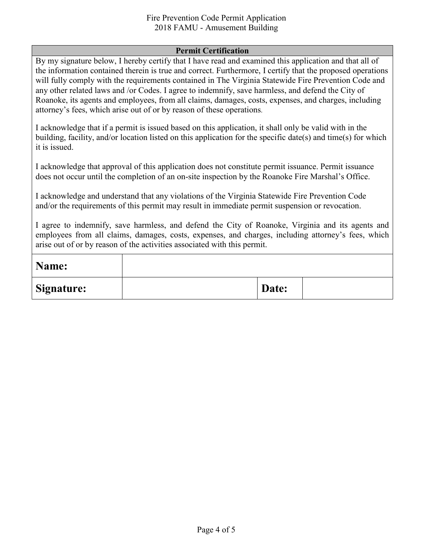#### Fire Prevention Code Permit Application 2018 FAMU - Amusement Building

#### **Permit Certification**

By my signature below, I hereby certify that I have read and examined this application and that all of the information contained therein is true and correct. Furthermore, I certify that the proposed operations will fully comply with the requirements contained in The Virginia Statewide Fire Prevention Code and any other related laws and /or Codes. I agree to indemnify, save harmless, and defend the City of Roanoke, its agents and employees, from all claims, damages, costs, expenses, and charges, including attorney's fees, which arise out of or by reason of these operations.

I acknowledge that if a permit is issued based on this application, it shall only be valid with in the building, facility, and/or location listed on this application for the specific date(s) and time(s) for which it is issued.

I acknowledge that approval of this application does not constitute permit issuance. Permit issuance does not occur until the completion of an on-site inspection by the Roanoke Fire Marshal's Office.

I acknowledge and understand that any violations of the Virginia Statewide Fire Prevention Code and/or the requirements of this permit may result in immediate permit suspension or revocation.

I agree to indemnify, save harmless, and defend the City of Roanoke, Virginia and its agents and employees from all claims, damages, costs, expenses, and charges, including attorney's fees, which arise out of or by reason of the activities associated with this permit.

| Name:             |       |  |
|-------------------|-------|--|
| <b>Signature:</b> | Date: |  |